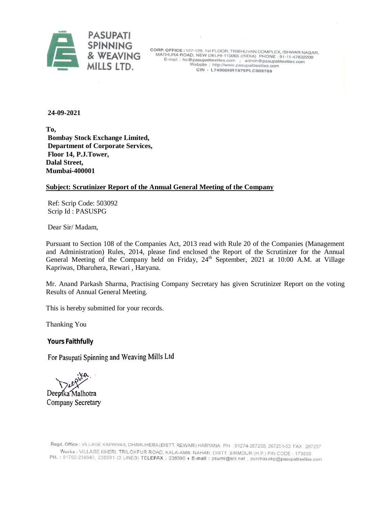

CORP. OFFICE : 127-128, 1st FLOOR, TRIBHUVAN COMPLEX, ISHWAR NAGAR,<br>MATHURA ROAD, NEW DELHI-110065 (INDIA) PHONE : 91-11-47632200 E-mail: ho@pasupatitextiles.com ; admin@pasupatitextiles.com Website: http://www.pasupatitextiles.com CIN - L74900HR1979PLC009789

**24-09-2021**

**To, Bombay Stock Exchange Limited, Department of Corporate Services, Floor 14, P.J.Tower, Dalal Street, Mumbai-400001**

#### **Subject: Scrutinizer Report of the Annual General Meeting of the Company**

Ref: Scrip Code: 503092 Scrip Id : PASUSPG

Dear Sir/ Madam,

Pursuant to Section 108 of the Companies Act, 2013 read with Rule 20 of the Companies (Management and Administration) Rules, 2014, please find enclosed the Report of the Scrutinizer for the Annual General Meeting of the Company held on Friday, 24<sup>th</sup> September, 2021 at 10:00 A.M. at Village Kapriwas, Dharuhera, Rewari , Haryana.

Mr. Anand Parkash Sharma, Practising Company Secretary has given Scrutinizer Report on the voting Results of Annual General Meeting.

This is hereby submitted for your records.

Thanking You

**Yours Faithfully** 

For Pasupati Spinning and Weaving Mills Ltd

Deepika Malhotra Company Secretary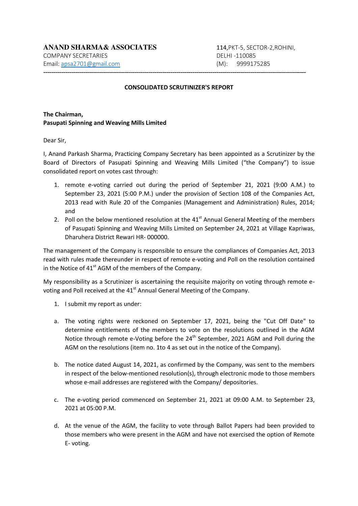#### **CONSOLIDATED SCRUTINIZER'S REPORT**

------------------------------------------------------------------------------------------------------------------------------------

# **The Chairman, Pasupati Spinning and Weaving Mills Limited**

Dear Sir,

I, Anand Parkash Sharma, Practicing Company Secretary has been appointed as a Scrutinizer by the Board of Directors of Pasupati Spinning and Weaving Mills Limited ("the Company") to issue consolidated report on votes cast through:

- 1. remote e-voting carried out during the period of September 21, 2021 (9:00 A.M.) to September 23, 2021 (5:00 P.M.) under the provision of Section 108 of the Companies Act, 2013 read with Rule 20 of the Companies (Management and Administration) Rules, 2014; and
- 2. Poll on the below mentioned resolution at the  $41<sup>st</sup>$  Annual General Meeting of the members of Pasupati Spinning and Weaving Mills Limited on September 24, 2021 at Village Kapriwas, Dharuhera District Rewari HR- 000000.

The management of the Company is responsible to ensure the compliances of Companies Act, 2013 read with rules made thereunder in respect of remote e-voting and Poll on the resolution contained in the Notice of  $41<sup>st</sup>$  AGM of the members of the Company.

My responsibility as a Scrutinizer is ascertaining the requisite majority on voting through remote evoting and Poll received at the 41<sup>st</sup> Annual General Meeting of the Company.

- 1. I submit my report as under:
- a. The voting rights were reckoned on September 17, 2021, being the "Cut Off Date" to determine entitlements of the members to vote on the resolutions outlined in the AGM Notice through remote e-Voting before the  $24<sup>th</sup>$  September, 2021 AGM and Poll during the AGM on the resolutions (item no. 1to 4 as set out in the notice of the Company).
- b. The notice dated August 14, 2021, as confirmed by the Company, was sent to the members in respect of the below-mentioned resolution(s), through electronic mode to those members whose e-mail addresses are registered with the Company/ depositories.
- c. The e-voting period commenced on September 21, 2021 at 09:00 A.M. to September 23, 2021 at 05:00 P.M.
- d. At the venue of the AGM, the facility to vote through Ballot Papers had been provided to those members who were present in the AGM and have not exercised the option of Remote E- voting.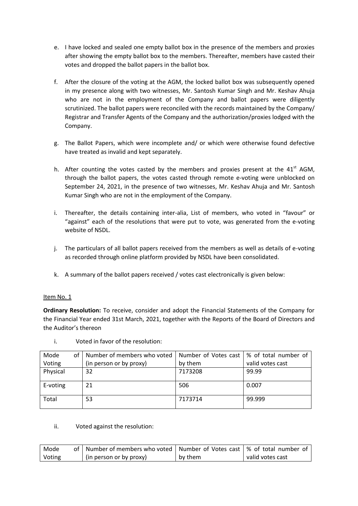- e. I have locked and sealed one empty ballot box in the presence of the members and proxies after showing the empty ballot box to the members. Thereafter, members have casted their votes and dropped the ballot papers in the ballot box.
- f. After the closure of the voting at the AGM, the locked ballot box was subsequently opened in my presence along with two witnesses, Mr. Santosh Kumar Singh and Mr. Keshav Ahuja who are not in the employment of the Company and ballot papers were diligently scrutinized. The ballot papers were reconciled with the records maintained by the Company/ Registrar and Transfer Agents of the Company and the authorization/proxies lodged with the Company.
- g. The Ballot Papers, which were incomplete and/ or which were otherwise found defective have treated as invalid and kept separately.
- h. After counting the votes casted by the members and proxies present at the  $41<sup>st</sup>$  AGM, through the ballot papers, the votes casted through remote e-voting were unblocked on September 24, 2021, in the presence of two witnesses, Mr. Keshav Ahuja and Mr. Santosh Kumar Singh who are not in the employment of the Company.
- i. Thereafter, the details containing inter-alia, List of members, who voted in "favour" or "against" each of the resolutions that were put to vote, was generated from the e-voting website of NSDL.
- j. The particulars of all ballot papers received from the members as well as details of e-voting as recorded through online platform provided by NSDL have been consolidated.
- k. A summary of the ballot papers received / votes cast electronically is given below:

# Item No. 1

**Ordinary Resolution:** To receive, consider and adopt the Financial Statements of the Company for the Financial Year ended 31st March, 2021, together with the Reports of the Board of Directors and the Auditor's thereon

| Mode     | οf | Number of members who voted | Number of Votes cast   % of total number of |                  |
|----------|----|-----------------------------|---------------------------------------------|------------------|
| Voting   |    | (in person or by proxy)     | by them                                     | valid votes cast |
| Physical |    | 32                          | 7173208                                     | 99.99            |
| E-voting |    | 21                          | 506                                         | 0.007            |
| Total    |    | 53                          | 7173714                                     | 99.999           |

i. Voted in favor of the resolution:

#### ii. Voted against the resolution:

| Mode   | of   Number of members who voted   Number of Votes cast   % of total number of |         |                  |
|--------|--------------------------------------------------------------------------------|---------|------------------|
| Voting | (in person or by proxy)                                                        | by them | valid votes cast |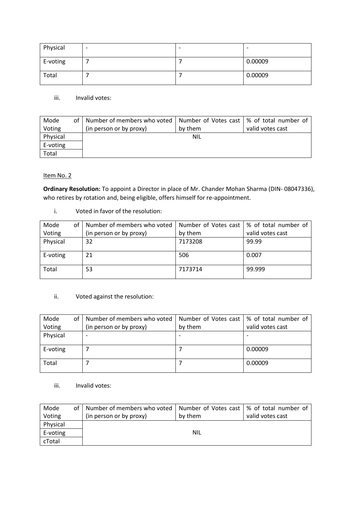| Physical | $\overline{\phantom{0}}$ | ٠ | $\overline{\phantom{0}}$ |
|----------|--------------------------|---|--------------------------|
| E-voting |                          |   | 0.00009                  |
| Total    |                          |   | 0.00009                  |

iii. Invalid votes:

| Mode     | οf | Number of members who voted   Number of Votes cast   % of total number of |            |                  |
|----------|----|---------------------------------------------------------------------------|------------|------------------|
| Voting   |    | (in person or by proxy)                                                   | by them    | valid votes cast |
| Physical |    |                                                                           | <b>NIL</b> |                  |
| E-voting |    |                                                                           |            |                  |
| Total    |    |                                                                           |            |                  |

# Item No. 2

**Ordinary Resolution:** To appoint a Director in place of Mr. Chander Mohan Sharma (DIN- 08047336), who retires by rotation and, being eligible, offers himself for re-appointment.

i. Voted in favor of the resolution:

| Mode<br>οf | Number of members who voted | Number of Votes cast   % of total number of |                  |
|------------|-----------------------------|---------------------------------------------|------------------|
| Voting     | (in person or by proxy)     | by them                                     | valid votes cast |
| Physical   | 32                          | 7173208                                     | 99.99            |
|            |                             |                                             |                  |
| E-voting   | 21                          | 506                                         | 0.007            |
| Total      | 53                          | 7173714                                     | 99.999           |

# ii. Voted against the resolution:

| Mode     | οf | Number of members who voted | Number of Votes cast | % of total number of |
|----------|----|-----------------------------|----------------------|----------------------|
| Voting   |    | (in person or by proxy)     | by them              | valid votes cast     |
| Physical |    |                             |                      |                      |
|          |    |                             |                      |                      |
| E-voting |    |                             |                      | 0.00009              |
| Total    |    |                             |                      | 0.00009              |

#### iii. Invalid votes:

| Mode     | of | Number of members who voted   Number of Votes cast   % of total number of |         |                  |
|----------|----|---------------------------------------------------------------------------|---------|------------------|
| Voting   |    | (in person or by proxy)                                                   | by them | valid votes cast |
| Physical |    |                                                                           |         |                  |
| E-voting |    |                                                                           | NIL     |                  |
| cTotal   |    |                                                                           |         |                  |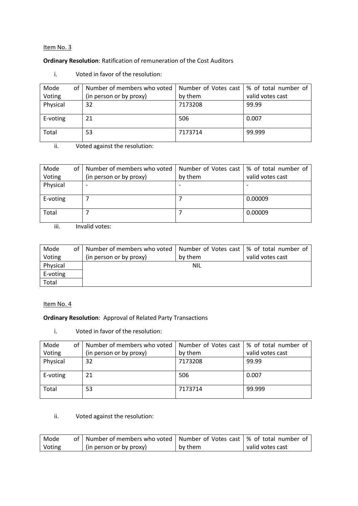### Item No. 3

#### **Ordinary Resolution**: Ratification of remuneration of the Cost Auditors

| Mode<br>οf | Number of members who voted | Number of Votes cast   % of total number of |                  |
|------------|-----------------------------|---------------------------------------------|------------------|
| Voting     | (in person or by proxy)     | by them                                     | valid votes cast |
| Physical   | 32                          | 7173208                                     | 99.99            |
| E-voting   | 21                          | 506                                         | 0.007            |
| Total      | 53                          | 7173714                                     | 99.999           |

i. Voted in favor of the resolution:

ii. Voted against the resolution:

| Mode<br>οf | Number of members who voted |         | Number of Votes cast   % of total number of |
|------------|-----------------------------|---------|---------------------------------------------|
| Voting     | (in person or by proxy)     | by them | valid votes cast                            |
| Physical   |                             |         |                                             |
|            |                             |         |                                             |
| E-voting   |                             |         | 0.00009                                     |
| Total      |                             |         | 0.00009                                     |

iii. Invalid votes:

| Mode     | of I | Number of members who voted   Number of Votes cast   % of total number of |            |                  |
|----------|------|---------------------------------------------------------------------------|------------|------------------|
| Voting   |      | (in person or by proxy)                                                   | by them    | valid votes cast |
| Physical |      |                                                                           | <b>NIL</b> |                  |
| E-voting |      |                                                                           |            |                  |
| Total    |      |                                                                           |            |                  |

#### Item No. 4

# **Ordinary Resolution**: Approval of Related Party Transactions

i. Voted in favor of the resolution:

| Mode<br>οf | Number of members who voted   Number of Votes cast   % of total number of |         |                  |
|------------|---------------------------------------------------------------------------|---------|------------------|
| Voting     | (in person or by proxy)                                                   | by them | valid votes cast |
| Physical   | 32                                                                        | 7173208 | 99.99            |
| E-voting   | 21                                                                        | 506     | 0.007            |
| Total      | 53                                                                        | 7173714 | 99.999           |

## ii. Voted against the resolution:

| Mode   | of   Number of members who voted   Number of Votes cast   % of total number of |         |                  |
|--------|--------------------------------------------------------------------------------|---------|------------------|
| Voting | (in person or by proxy)                                                        | by them | valid votes cast |